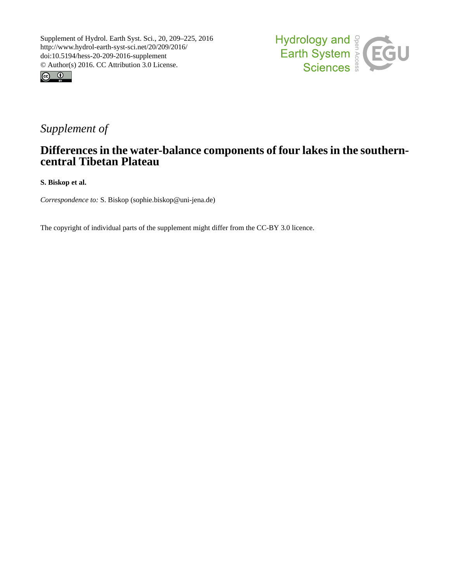



# *Supplement of*

# **Differences in the water-balance components of four lakes in the southerncentral Tibetan Plateau**

**S. Biskop et al.**

*Correspondence to:* S. Biskop (sophie.biskop@uni-jena.de)

The copyright of individual parts of the supplement might differ from the CC-BY 3.0 licence.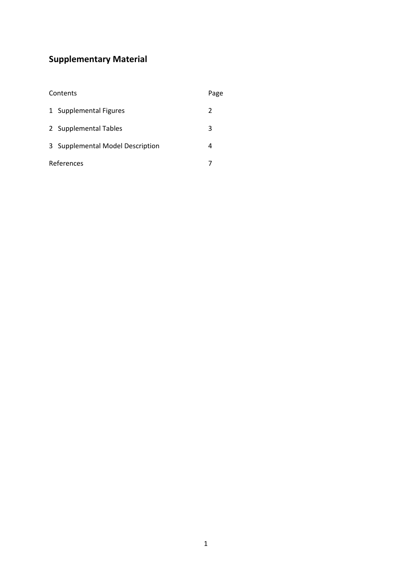# **Supplementary Material**

| Contents |                                  | Page |
|----------|----------------------------------|------|
|          | 1 Supplemental Figures           | 2    |
|          | 2 Supplemental Tables            | 3    |
|          | 3 Supplemental Model Description | 4    |
|          | References                       |      |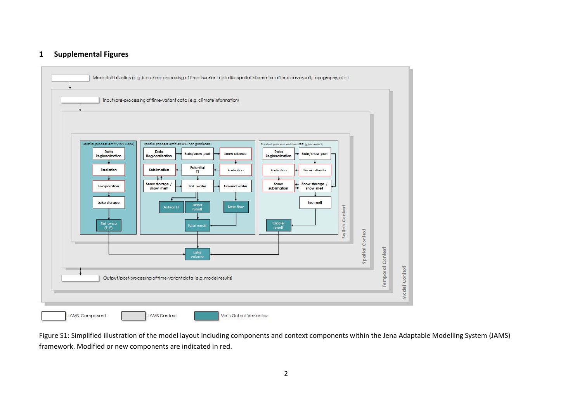## **1 Supplemental Figures**



Figure S1: Simplified illustration of the model layout including components and context components within the Jena Adaptable Modelling System (JAMS) framework. Modified or new components are indicated in red.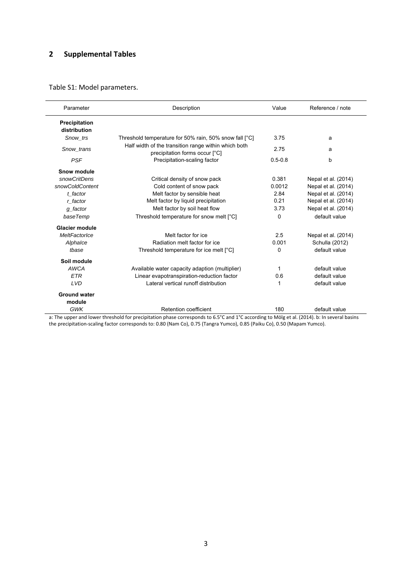## **2 Supplemental Tables**

## Table S1: Model parameters.

| Parameter             | Description                                            | Value       | Reference / note    |
|-----------------------|--------------------------------------------------------|-------------|---------------------|
| Precipitation         |                                                        |             |                     |
| distribution          |                                                        |             |                     |
| Snow trs              | Threshold temperature for 50% rain, 50% snow fall [°C] | 3.75        | a                   |
| Snow trans            | Half width of the transition range within which both   | 2.75        | a                   |
|                       | precipitation forms occur [°C]                         |             |                     |
| <b>PSF</b>            | Precipitation-scaling factor                           | $0.5 - 0.8$ | b                   |
| Snow module           |                                                        |             |                     |
| snowCritDens          | Critical density of snow pack                          | 0.381       | Nepal et al. (2014) |
| snowColdContent       | Cold content of snow pack                              | 0.0012      | Nepal et al. (2014) |
| t factor              | Melt factor by sensible heat                           | 2.84        | Nepal et al. (2014) |
| r factor              | Melt factor by liquid precipitation                    | 0.21        | Nepal et al. (2014) |
| g_factor              | Melt factor by soil heat flow                          | 3.73        | Nepal et al. (2014) |
| baseTemp              | Threshold temperature for snow melt [°C]               | $\Omega$    | default value       |
| <b>Glacier module</b> |                                                        |             |                     |
| MeltFactorIce         | Melt factor for ice                                    | 2.5         | Nepal et al. (2014) |
| Alphalce              | Radiation melt factor for ice                          | 0.001       | Schulla (2012)      |
| tbase                 | Threshold temperature for ice melt [°C]                | 0           | default value       |
| Soil module           |                                                        |             |                     |
| <b>AWCA</b>           | Available water capacity adaption (multiplier)         | 1           | default value       |
| <b>ETR</b>            | Linear evapotranspiration-reduction factor             | 0.6         | default value       |
| <b>LVD</b>            | Lateral vertical runoff distribution                   | 1           | default value       |
| <b>Ground water</b>   |                                                        |             |                     |
| module                |                                                        |             |                     |
| <b>GWK</b>            | Retention coefficient                                  | 180         | default value       |

a: The upper and lower threshold for precipitation phase corresponds to 6.5°C and 1°C according to Mölg et al. (2014). b: In several basins the precipitation‐scaling factor corresponds to: 0.80 (Nam Co), 0.75 (Tangra Yumco), 0.85 (Paiku Co), 0.50 (Mapam Yumco).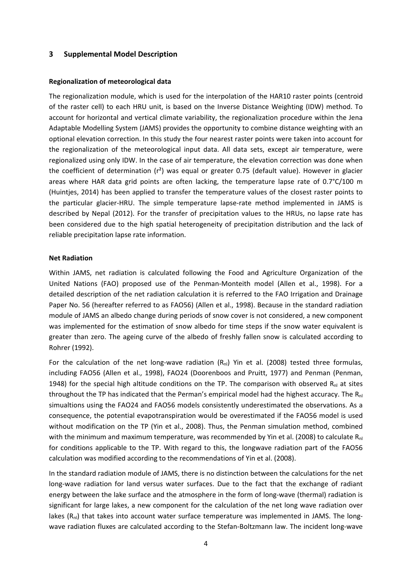#### **3 Supplemental Model Description**

#### **Regionalization of meteorological data**

The regionalization module, which is used for the interpolation of the HAR10 raster points (centroid of the raster cell) to each HRU unit, is based on the Inverse Distance Weighting (IDW) method. To account for horizontal and vertical climate variability, the regionalization procedure within the Jena Adaptable Modelling System (JAMS) provides the opportunity to combine distance weighting with an optional elevation correction. In this study the four nearest raster points were taken into account for the regionalization of the meteorological input data. All data sets, except air temperature, were regionalized using only IDW. In the case of air temperature, the elevation correction was done when the coefficient of determination (r<sup>2</sup>) was equal or greater 0.75 (default value). However in glacier areas where HAR data grid points are often lacking, the temperature lapse rate of  $0.7^{\circ}C/100$  m (Huintjes, 2014) has been applied to transfer the temperature values of the closest raster points to the particular glacier-HRU. The simple temperature lapse-rate method implemented in JAMS is described by Nepal (2012). For the transfer of precipitation values to the HRUs, no lapse rate has been considered due to the high spatial heterogeneity of precipitation distribution and the lack of reliable precipitation lapse rate information.

#### **Net Radiation**

Within JAMS, net radiation is calculated following the Food and Agriculture Organization of the United Nations (FAO) proposed use of the Penman‐Monteith model (Allen et al., 1998). For a detailed description of the net radiation calculation it is referred to the FAO Irrigation and Drainage Paper No. 56 (hereafter referred to as FAO56) (Allen et al., 1998). Because in the standard radiation module of JAMS an albedo change during periods of snow cover is not considered, a new component was implemented for the estimation of snow albedo for time steps if the snow water equivalent is greater than zero. The ageing curve of the albedo of freshly fallen snow is calculated according to Rohrer (1992).

For the calculation of the net long-wave radiation  $(R_{nl})$  Yin et al. (2008) tested three formulas, including FAO56 (Allen et al., 1998), FAO24 (Doorenboos and Pruitt, 1977) and Penman (Penman, 1948) for the special high altitude conditions on the TP. The comparison with observed  $R_{nl}$  at sites throughout the TP has indicated that the Perman's empirical model had the highest accuracy. The  $R_{nl}$ simualtions using the FAO24 and FAO56 models consistently underestimated the observations. As a consequence, the potential evapotranspiration would be overestimated if the FAO56 model is used without modification on the TP (Yin et al., 2008). Thus, the Penman simulation method, combined with the minimum and maximum temperature, was recommended by Yin et al. (2008) to calculate  $R_{nl}$ for conditions applicable to the TP. With regard to this, the longwave radiation part of the FAO56 calculation was modified according to the recommendations of Yin et al. (2008).

In the standard radiation module of JAMS, there is no distinction between the calculations for the net long-wave radiation for land versus water surfaces. Due to the fact that the exchange of radiant energy between the lake surface and the atmosphere in the form of long-wave (thermal) radiation is significant for large lakes, a new component for the calculation of the net long wave radiation over lakes  $(R_{nl})$  that takes into account water surface temperature was implemented in JAMS. The longwave radiation fluxes are calculated according to the Stefan-Boltzmann law. The incident long-wave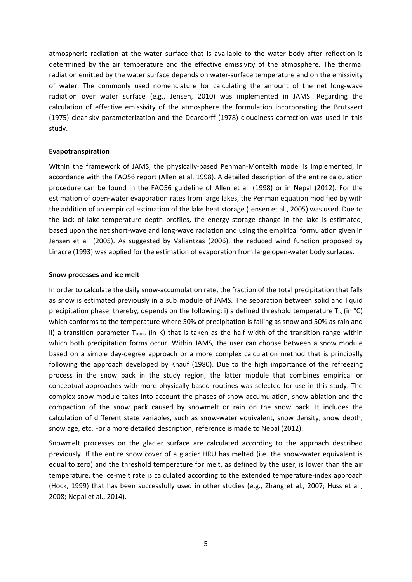atmospheric radiation at the water surface that is available to the water body after reflection is determined by the air temperature and the effective emissivity of the atmosphere. The thermal radiation emitted by the water surface depends on water-surface temperature and on the emissivity of water. The commonly used nomenclature for calculating the amount of the net long‐wave radiation over water surface (e.g., Jensen, 2010) was implemented in JAMS. Regarding the calculation of effective emissivity of the atmosphere the formulation incorporating the Brutsaert (1975) clear‐sky parameterization and the Deardorff (1978) cloudiness correction was used in this study.

#### **Evapotranspiration**

Within the framework of JAMS, the physically-based Penman-Monteith model is implemented, in accordance with the FAO56 report (Allen et al. 1998). A detailed description of the entire calculation procedure can be found in the FAO56 guideline of Allen et al. (1998) or in Nepal (2012). For the estimation of open-water evaporation rates from large lakes, the Penman equation modified by with the addition of an empirical estimation of the lake heat storage (Jensen et al., 2005) was used. Due to the lack of lake-temperature depth profiles, the energy storage change in the lake is estimated, based upon the net short-wave and long-wave radiation and using the empirical formulation given in Jensen et al. (2005). As suggested by Valiantzas (2006), the reduced wind function proposed by Linacre (1993) was applied for the estimation of evaporation from large open‐water body surfaces.

#### **Snow processes and ice melt**

In order to calculate the daily snow‐accumulation rate, the fraction of the total precipitation that falls as snow is estimated previously in a sub module of JAMS. The separation between solid and liquid precipitation phase, thereby, depends on the following: i) a defined threshold temperature  $T_{rs}$  (in °C) which conforms to the temperature where 50% of precipitation is falling as snow and 50% as rain and ii) a transition parameter  $T_{trans}$  (in K) that is taken as the half width of the transition range within which both precipitation forms occur. Within JAMS, the user can choose between a snow module based on a simple day-degree approach or a more complex calculation method that is principally following the approach developed by Knauf (1980). Due to the high importance of the refreezing process in the snow pack in the study region, the latter module that combines empirical or conceptual approaches with more physically‐based routines was selected for use in this study. The complex snow module takes into account the phases of snow accumulation, snow ablation and the compaction of the snow pack caused by snowmelt or rain on the snow pack. It includes the calculation of different state variables, such as snow‐water equivalent, snow density, snow depth, snow age, etc. For a more detailed description, reference is made to Nepal (2012).

Snowmelt processes on the glacier surface are calculated according to the approach described previously. If the entire snow cover of a glacier HRU has melted (i.e. the snow-water equivalent is equal to zero) and the threshold temperature for melt, as defined by the user, is lower than the air temperature, the ice-melt rate is calculated according to the extended temperature-index approach (Hock, 1999) that has been successfully used in other studies (e.g., Zhang et al., 2007; Huss et al., 2008; Nepal et al., 2014).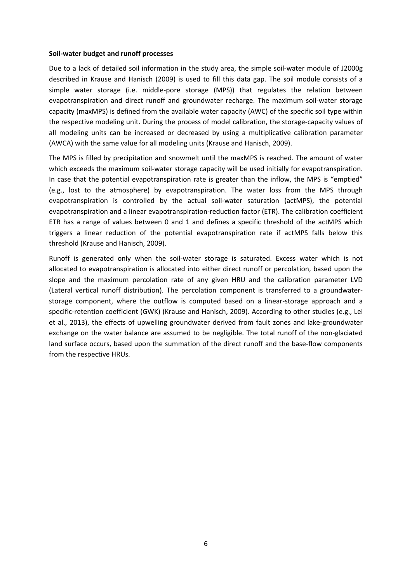#### **Soil‐water budget and runoff processes**

Due to a lack of detailed soil information in the study area, the simple soil-water module of J2000g described in Krause and Hanisch (2009) is used to fill this data gap. The soil module consists of a simple water storage (i.e. middle-pore storage (MPS)) that regulates the relation between evapotranspiration and direct runoff and groundwater recharge. The maximum soil-water storage capacity (maxMPS) is defined from the available water capacity (AWC) of the specific soil type within the respective modeling unit. During the process of model calibration, the storage-capacity values of all modeling units can be increased or decreased by using a multiplicative calibration parameter (AWCA) with the same value for all modeling units (Krause and Hanisch, 2009).

The MPS is filled by precipitation and snowmelt until the maxMPS is reached. The amount of water which exceeds the maximum soil-water storage capacity will be used initially for evapotranspiration. In case that the potential evapotranspiration rate is greater than the inflow, the MPS is "emptied" (e.g., lost to the atmosphere) by evapotranspiration. The water loss from the MPS through evapotranspiration is controlled by the actual soil-water saturation (actMPS), the potential evapotranspiration and a linear evapotranspiration‐reduction factor (ETR). The calibration coefficient ETR has a range of values between 0 and 1 and defines a specific threshold of the actMPS which triggers a linear reduction of the potential evapotranspiration rate if actMPS falls below this threshold (Krause and Hanisch, 2009).

Runoff is generated only when the soil-water storage is saturated. Excess water which is not allocated to evapotranspiration is allocated into either direct runoff or percolation, based upon the slope and the maximum percolation rate of any given HRU and the calibration parameter LVD (Lateral vertical runoff distribution). The percolation component is transferred to a groundwater‐ storage component, where the outflow is computed based on a linear-storage approach and a specific-retention coefficient (GWK) (Krause and Hanisch, 2009). According to other studies (e.g., Lei et al., 2013), the effects of upwelling groundwater derived from fault zones and lake‐groundwater exchange on the water balance are assumed to be negligible. The total runoff of the non-glaciated land surface occurs, based upon the summation of the direct runoff and the base-flow components from the respective HRUs.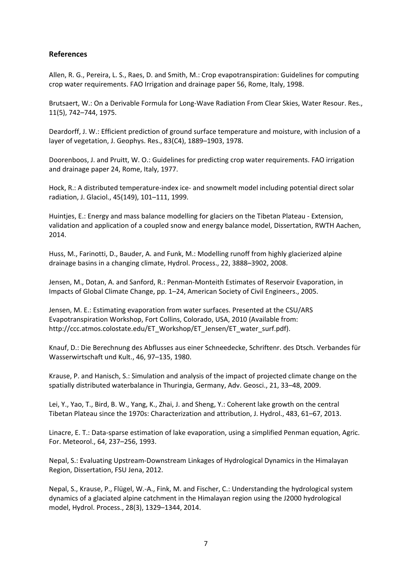### **References**

Allen, R. G., Pereira, L. S., Raes, D. and Smith, M.: Crop evapotranspiration: Guidelines for computing crop water requirements. FAO Irrigation and drainage paper 56, Rome, Italy, 1998.

Brutsaert, W.: On a Derivable Formula for Long‐Wave Radiation From Clear Skies, Water Resour. Res., 11(5), 742–744, 1975.

Deardorff, J. W.: Efficient prediction of ground surface temperature and moisture, with inclusion of a layer of vegetation, J. Geophys. Res., 83(C4), 1889–1903, 1978.

Doorenboos, J. and Pruitt, W. O.: Guidelines for predicting crop water requirements. FAO irrigation and drainage paper 24, Rome, Italy, 1977.

Hock, R.: A distributed temperature-index ice- and snowmelt model including potential direct solar radiation, J. Glaciol., 45(149), 101–111, 1999.

Huintjes, E.: Energy and mass balance modelling for glaciers on the Tibetan Plateau ‐ Extension, validation and application of a coupled snow and energy balance model, Dissertation, RWTH Aachen, 2014.

Huss, M., Farinotti, D., Bauder, A. and Funk, M.: Modelling runoff from highly glacierized alpine drainage basins in a changing climate, Hydrol. Process., 22, 3888–3902, 2008.

Jensen, M., Dotan, A. and Sanford, R.: Penman‐Monteith Estimates of Reservoir Evaporation, in Impacts of Global Climate Change, pp. 1–24, American Society of Civil Engineers., 2005.

Jensen, M. E.: Estimating evaporation from water surfaces. Presented at the CSU/ARS Evapotranspiration Workshop, Fort Collins, Colorado, USA, 2010 (Available from: http://ccc.atmos.colostate.edu/ET\_Workshop/ET\_Jensen/ET\_water\_surf.pdf).

Knauf, D.: Die Berechnung des Abflusses aus einer Schneedecke, Schriftenr. des Dtsch. Verbandes für Wasserwirtschaft und Kult., 46, 97–135, 1980.

Krause, P. and Hanisch, S.: Simulation and analysis of the impact of projected climate change on the spatially distributed waterbalance in Thuringia, Germany, Adv. Geosci., 21, 33–48, 2009.

Lei, Y., Yao, T., Bird, B. W., Yang, K., Zhai, J. and Sheng, Y.: Coherent lake growth on the central Tibetan Plateau since the 1970s: Characterization and attribution, J. Hydrol., 483, 61–67, 2013.

Linacre, E. T.: Data‐sparse estimation of lake evaporation, using a simplified Penman equation, Agric. For. Meteorol., 64, 237–256, 1993.

Nepal, S.: Evaluating Upstream‐Downstream Linkages of Hydrological Dynamics in the Himalayan Region, Dissertation, FSU Jena, 2012.

Nepal, S., Krause, P., Flügel, W.‐A., Fink, M. and Fischer, C.: Understanding the hydrological system dynamics of a glaciated alpine catchment in the Himalayan region using the J2000 hydrological model, Hydrol. Process., 28(3), 1329–1344, 2014.